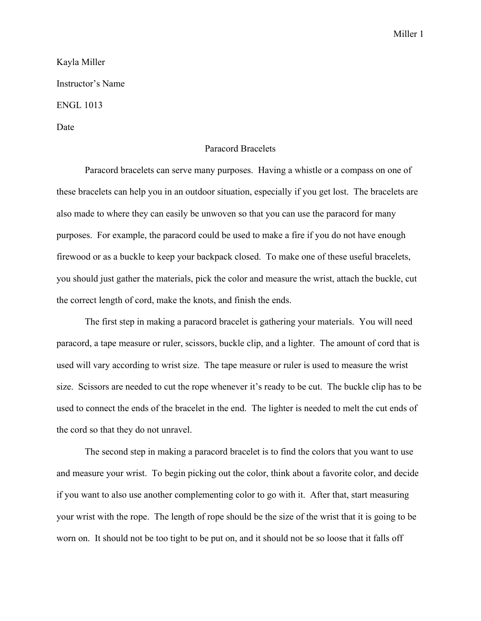Miller 1

## Kayla Miller Instructor's Name ENGL 1013 Date

## Paracord Bracelets

Paracord bracelets can serve many purposes. Having a whistle or a compass on one of these bracelets can help you in an outdoor situation, especially if you get lost. The bracelets are also made to where they can easily be unwoven so that you can use the paracord for many purposes. For example, the paracord could be used to make a fire if you do not have enough firewood or as a buckle to keep your backpack closed. To make one of these useful bracelets, you should just gather the materials, pick the color and measure the wrist, attach the buckle, cut the correct length of cord, make the knots, and finish the ends.

The first step in making a paracord bracelet is gathering your materials. You will need paracord, a tape measure or ruler, scissors, buckle clip, and a lighter. The amount of cord that is used will vary according to wrist size. The tape measure or ruler is used to measure the wrist size. Scissors are needed to cut the rope whenever it's ready to be cut. The buckle clip has to be used to connect the ends of the bracelet in the end. The lighter is needed to melt the cut ends of the cord so that they do not unravel.

The second step in making a paracord bracelet is to find the colors that you want to use and measure your wrist. To begin picking out the color, think about a favorite color, and decide if you want to also use another complementing color to go with it. After that, start measuring your wrist with the rope. The length of rope should be the size of the wrist that it is going to be worn on. It should not be too tight to be put on, and it should not be so loose that it falls off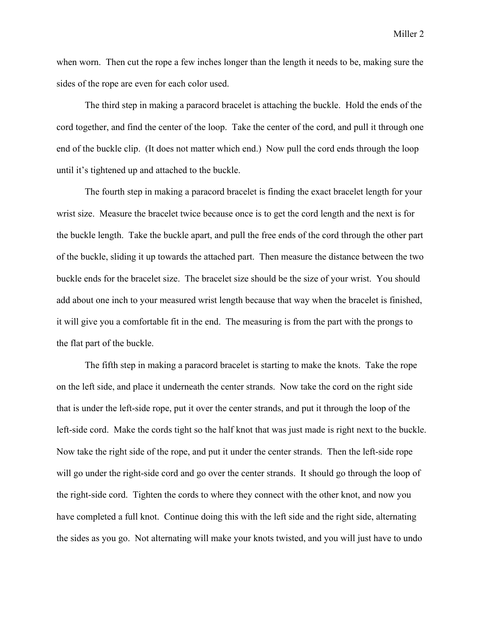when worn. Then cut the rope a few inches longer than the length it needs to be, making sure the sides of the rope are even for each color used.

The third step in making a paracord bracelet is attaching the buckle. Hold the ends of the cord together, and find the center of the loop. Take the center of the cord, and pull it through one end of the buckle clip. (It does not matter which end.) Now pull the cord ends through the loop until it's tightened up and attached to the buckle.

The fourth step in making a paracord bracelet is finding the exact bracelet length for your wrist size. Measure the bracelet twice because once is to get the cord length and the next is for the buckle length. Take the buckle apart, and pull the free ends of the cord through the other part of the buckle, sliding it up towards the attached part. Then measure the distance between the two buckle ends for the bracelet size. The bracelet size should be the size of your wrist. You should add about one inch to your measured wrist length because that way when the bracelet is finished, it will give you a comfortable fit in the end. The measuring is from the part with the prongs to the flat part of the buckle.

The fifth step in making a paracord bracelet is starting to make the knots. Take the rope on the left side, and place it underneath the center strands. Now take the cord on the right side that is under the left-side rope, put it over the center strands, and put it through the loop of the left-side cord. Make the cords tight so the half knot that was just made is right next to the buckle. Now take the right side of the rope, and put it under the center strands. Then the left-side rope will go under the right-side cord and go over the center strands. It should go through the loop of the right-side cord. Tighten the cords to where they connect with the other knot, and now you have completed a full knot. Continue doing this with the left side and the right side, alternating the sides as you go. Not alternating will make your knots twisted, and you will just have to undo